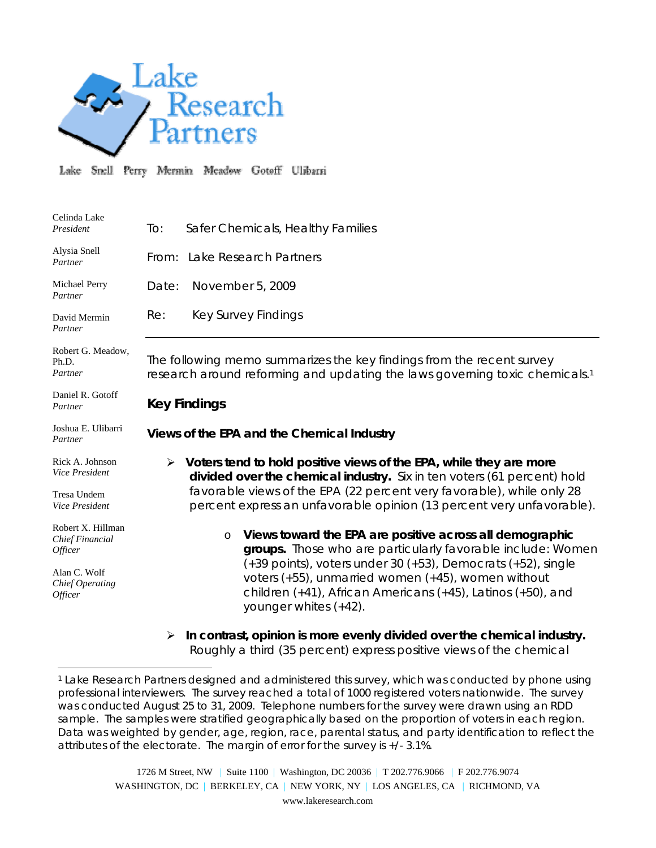

 $\overline{a}$ 

Lake Snell Perry Mermin Meadow Gotoff Ulibarri

| Celinda Lake<br>President                                                                            | Safer Chemicals, Healthy Families<br>To:                                                                                                                                                                                                                                                                                                                          |
|------------------------------------------------------------------------------------------------------|-------------------------------------------------------------------------------------------------------------------------------------------------------------------------------------------------------------------------------------------------------------------------------------------------------------------------------------------------------------------|
| Alysia Snell<br>Partner                                                                              | From: Lake Research Partners                                                                                                                                                                                                                                                                                                                                      |
| Michael Perry<br>Partner                                                                             | Date:<br>November 5, 2009                                                                                                                                                                                                                                                                                                                                         |
| David Mermin<br>Partner                                                                              | <b>Key Survey Findings</b><br>Re:                                                                                                                                                                                                                                                                                                                                 |
| Robert G. Meadow,<br>Ph.D.<br>Partner                                                                | The following memo summarizes the key findings from the recent survey<br>research around reforming and updating the laws governing toxic chemicals. <sup>1</sup>                                                                                                                                                                                                  |
| Daniel R. Gotoff<br>Partner                                                                          | <b>Key Findings</b>                                                                                                                                                                                                                                                                                                                                               |
| Joshua E. Ulibarri<br>Partner                                                                        | Views of the EPA and the Chemical Industry                                                                                                                                                                                                                                                                                                                        |
| Rick A. Johnson<br>Vice President<br>Tresa Undem<br>Vice President                                   | $\triangleright$ Voters tend to hold positive views of the EPA, while they are more<br>divided over the chemical industry. Six in ten voters (61 percent) hold<br>favorable views of the EPA (22 percent very favorable), while only 28<br>percent express an unfavorable opinion (13 percent very unfavorable).                                                  |
| Robert X. Hillman<br>Chief Financial<br>Officer<br>Alan C. Wolf<br><b>Chief Operating</b><br>Officer | Views toward the EPA are positive across all demographic<br>$\circ$<br>groups. Those who are particularly favorable include: Women<br>$(+39$ points), voters under 30 $(+53)$ , Democrats $(+52)$ , single<br>voters $(+55)$ , unmarried women $(+45)$ , women without<br>children (+41), African Americans (+45), Latinos (+50), and<br>younger whites $(+42)$ . |
|                                                                                                      | In contrast, opinion is more evenly divided over the chemical industry.<br>➤                                                                                                                                                                                                                                                                                      |

Roughly a third (35 percent) express positive views of the chemical

1726 M Street, NW | Suite 1100 | Washington, DC 20036 | T 202.776.9066 | F 202.776.9074 WASHINGTON, DC | BERKELEY, CA | NEW YORK, NY | LOS ANGELES, CA | RICHMOND, VA www.lakeresearch.com

<sup>1</sup> Lake Research Partners designed and administered this survey, which was conducted by phone using professional interviewers. The survey reached a total of 1000 registered voters nationwide. The survey was conducted August 25 to 31, 2009. Telephone numbers for the survey were drawn using an RDD sample. The samples were stratified geographically based on the proportion of voters in each region. Data was weighted by gender, age, region, race, parental status, and party identification to reflect the attributes of the electorate. The margin of error for the survey is +/- 3.1%.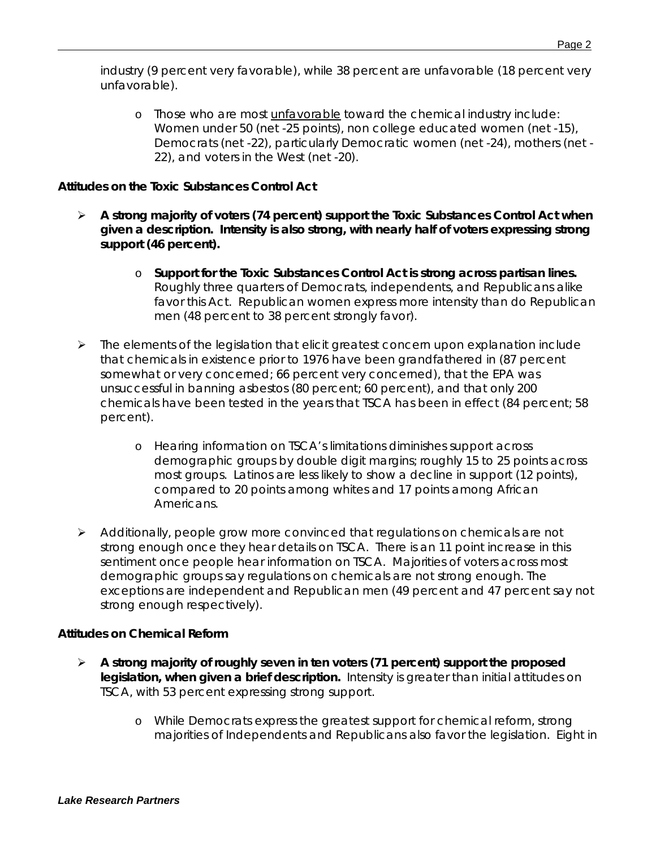industry (9 percent very favorable), while 38 percent are unfavorable (18 percent very unfavorable).

o Those who are most unfavorable toward the chemical industry include: Women under 50 (net -25 points), non college educated women (net -15), Democrats (net -22), particularly Democratic women (net -24), mothers (net - 22), and voters in the West (net -20).

## *Attitudes on the Toxic Substances Control Act*

- ¾ **A strong majority of voters (74 percent) support the Toxic Substances Control Act when given a description. Intensity is also strong, with nearly half of voters expressing strong support (46 percent).**
	- o **Support for the Toxic Substances Control Act is strong across partisan lines.** Roughly three quarters of Democrats, independents, and Republicans alike favor this Act. Republican women express more intensity than do Republican men (48 percent to 38 percent strongly favor).
- ¾ The elements of the legislation that elicit greatest concern upon explanation include that chemicals in existence prior to 1976 have been grandfathered in (87 percent somewhat or very concerned; 66 percent very concerned), that the EPA was unsuccessful in banning asbestos (80 percent; 60 percent), and that only 200 chemicals have been tested in the years that TSCA has been in effect (84 percent; 58 percent).
	- o Hearing information on TSCA's limitations diminishes support across demographic groups by double digit margins; roughly 15 to 25 points across most groups. Latinos are less likely to show a decline in support (12 points), compared to 20 points among whites and 17 points among African Americans.
- ¾ Additionally, people grow more convinced that regulations on chemicals are not strong enough once they hear details on TSCA. There is an 11 point increase in this sentiment once people hear information on TSCA. Majorities of voters across most demographic groups say regulations on chemicals are not strong enough. The exceptions are independent and Republican men (49 percent and 47 percent say not strong enough respectively).

## *Attitudes on Chemical Reform*

- ¾ **A strong majority of roughly seven in ten voters (71 percent) support the proposed legislation, when given a brief description.** Intensity is greater than initial attitudes on TSCA, with 53 percent expressing strong support.
	- o While Democrats express the greatest support for chemical reform, strong majorities of Independents and Republicans also favor the legislation. Eight in